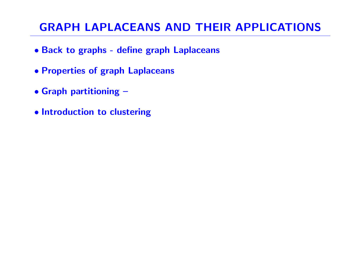# GRAPH LAPLACEANS AND THEIR APPLICATIONS

- Back to graphs define graph Laplaceans
- Properties of graph Laplaceans
- Graph partitioning –
- Introduction to clustering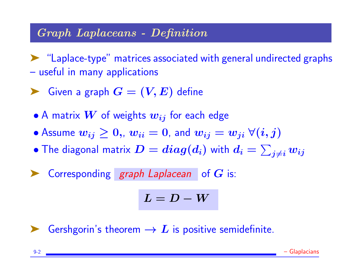# Graph Laplaceans - Definition

➤ "Laplace-type" matrices associated with general undirected graphs – useful in many applications

- $\blacktriangleright$  Given a graph  $G = (V, E)$  define
- A matrix  $\boldsymbol{W}$  of weights  $\boldsymbol{w_{ij}}$  for each edge
- Assume  $w_{ij} \geq 0$ ,,  $w_{ii} = 0$ , and  $w_{ij} = w_{ji} \; \forall (i, j)$
- $\bullet$  The diagonal matrix  $\boldsymbol{D} = diag(d_i)$  with  $d_i = \sum_{j \neq i} w_{ij}$
- $\blacktriangleright$  Corresponding graph Laplacean of G is:

$$
L=D-W
$$

Gershgorin's theorem  $\rightarrow L$  is positive semidefinite.

9-2 <mark>– Glaplacians – Glaplacians – Glaplacians – Glaplacians – Glaplacians – Glaplacians</mark>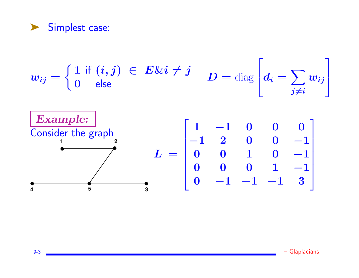

$$
w_{ij} = \begin{cases} 1 \text{ if } (i,j) \in E \& i \neq j \\ 0 \text{ else} \end{cases} \quad D = \text{diag} \left[ d_i = \sum_{j \neq i} w_{ij} \right]
$$



9-3 – Glaplacians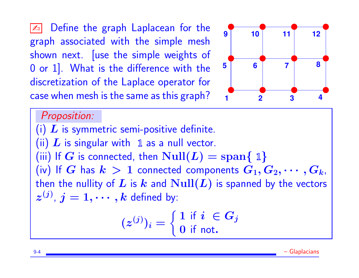**E** Define the graph Laplacean for the graph associated with the simple mesh shown next. [use the simple weights of 0 or 1]. What is the difference with the discretization of the Laplace operator for case when mesh is the same as this graph?



#### Proposition:

(i)  $\boldsymbol{L}$  is symmetric semi-positive definite. (ii)  $L$  is singular with  $1$  as a null vector. (iii) If G is connected, then  $Null(L) = span{ 1 }$ (iv) If G has  $k > 1$  connected components  $G_1, G_2, \cdots, G_k$ , then the nullity of L is k and  $Null(L)$  is spanned by the vectors  $z^{(j)},\, j=1,\cdots,k$  defined by:

$$
(z^{(j)})_i = \left\{ \begin{matrix} 1 \text{ if } i \in G_j \\ 0 \text{ if not.} \end{matrix} \right.
$$

9-4 – Glaplacians – Glaplacians – Glaplacians – Glaplacians – Glaplacians – Glaplacians – Glaplacians – Glaplacians – Glaplacians – Glaplacians – Glaplacians – Glaplacians – Glaplacians – Glaplacians – Glaplacians – Glapla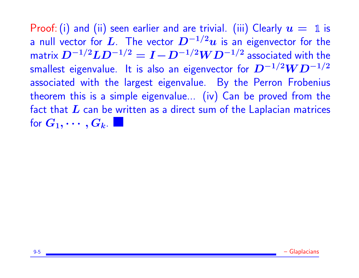Proof: (i) and (ii) seen earlier and are trivial. (iii) Clearly  $u = 1$  is a null vector for L. The vector  $D^{-1/2}u$  is an eigenvector for the matrix  $\boldsymbol{D}^{-1/2}\boldsymbol{L}\boldsymbol{D}^{-1/2}=\boldsymbol{I}-\boldsymbol{D}^{-1/2}\boldsymbol{W}\boldsymbol{D}^{-1/2}$  associated with the smallest eigenvalue. It is also an eigenvector for  $D^{-1/2}WD^{-1/2}$ associated with the largest eigenvalue. By the Perron Frobenius theorem this is a simple eigenvalue... (iv) Can be proved from the fact that  $L$  can be written as a direct sum of the Laplacian matrices for  $G_1, \cdots, G_k$ .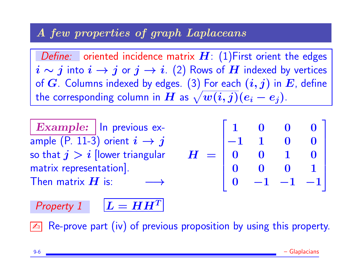# A few properties of graph Laplaceans

Define: oriented incidence matrix  $H: (1)$ First orient the edges  $i \sim j$  into  $i \to j$  or  $j \to i$ . (2) Rows of H indexed by vertices of G. Columns indexed by edges. (3) For each  $(i, j)$  in E, define the corresponding column in  $\boldsymbol{H}$  as  $\sqrt{w(i,j)}(\boldsymbol{e}_i - \boldsymbol{e}_j).$ 

| $ $ $Example:$ $ $ In previous ex-       |       |  | $\mathbf{0}$                                 |  |
|------------------------------------------|-------|--|----------------------------------------------|--|
| ample (P. 11-3) orient $i \rightarrow j$ |       |  |                                              |  |
| so that $j > i$ [lower triangular        | $H =$ |  |                                              |  |
| matrix representation.                   |       |  |                                              |  |
| Then matrix $\boldsymbol{H}$ is:         |       |  | $\begin{vmatrix} -1 & -1 & -1 \end{vmatrix}$ |  |

Property 1 
$$
L = H H^{T}
$$

Re-prove part (iv) of previous proposition by using this property.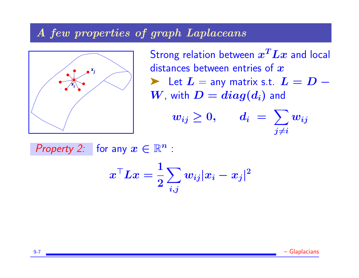### A few properties of graph Laplaceans



Strong relation between  $\bm{x^T}\bm{L}\bm{x}$  and local distances between entries of  $x$ ► Let  $L =$  any matrix s.t.  $L = D -$ W, with  $D = diag(d_i)$  and

$$
w_{ij} \geq 0, \qquad d_i \ = \ \sum_{j \neq i} w_{ij}
$$

Property 2: for any  $x \in \mathbb{R}^n$  :

$$
x^\top L x = \frac{1}{2} \sum_{i,j} w_{ij} |x_i - x_j|^2
$$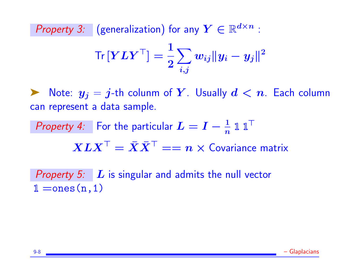Property 3:  $\big|$  (generalization) for any  $Y \in \mathbb{R}^{d \times n}$  :  $\text{Tr}\left[\boldsymbol{Y}\boldsymbol{L}\boldsymbol{Y}^{\top}\right]=\frac{1}{2}$ 2  $\sum$  $\boldsymbol{i, j}$  $\|w_{ij}\|y_i-y_j\|^2$ 

 $\blacktriangleright$  Note:  $y_j = j$ -th colunm of  $Y$ . Usually  $d < n$ . Each column can represent a data sample.

*Property 4:* For the particular  $L = I - \frac{1}{n}$  $11^{\top}$  $\boldsymbol{X}\boldsymbol{L}\boldsymbol{X}^\top = \bar{\boldsymbol{X}}\bar{\boldsymbol{X}}^\top == \boldsymbol{n}\times \textsf{Covariance matrix}$ 

*Property 5:*  $\boldsymbol{L}$  is singular and admits the null vector  $1 = ones(n,1)$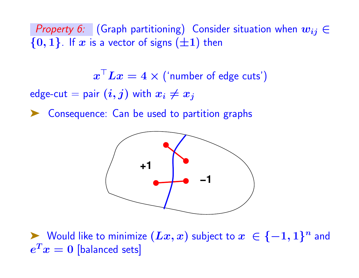Property 6: (Graph partitioning) Consider situation when  $w_{ij} \in$  $\{0,1\}$ . If x is a vector of signs  $(\pm 1)$  then

 $\boldsymbol{x}^{\top}\boldsymbol{L}\boldsymbol{x}=4\times($  'number of edge cuts')

edge-cut = pair  $(i, j)$  with  $x_i \neq x_j$ 

➤ Consequence: Can be used to partition graphs



► Would like to minimize  $(Lx, x)$  subject to  $x \in \{-1, 1\}^n$  and  $e^T x = 0$  [balanced sets]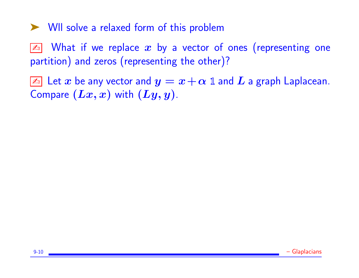➤ Wll solve a relaxed form of this problem

 $\boxed{\mathbb{Z}_\mathbb{D}}$  What if we replace  $x$  by a vector of ones (representing one partition) and zeros (representing the other)?

 $\boxed{\mathbb{Z}^n}$  Let  $x$  be any vector and  $y = x + \alpha$  1 and  $L$  a graph Laplacean. Compare  $(Lx, x)$  with  $(Ly, y)$ .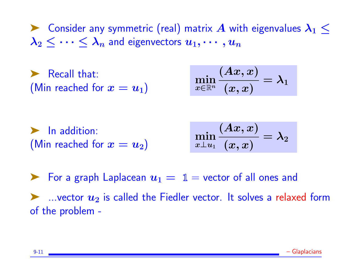► Consider any symmetric (real) matrix  $A$  with eigenvalues  $\lambda_1 \leq$  $\lambda_2 \leq \cdots \leq \lambda_n$  and eigenvectors  $u_1, \cdots, u_n$ 

▶ Recall that: (Min reached for  $x = u_1$ ) min  $x\in \mathbb{R}^n$  $(Ax, x)$  $(x, x)$  $=\lambda _{1}$ 

▶ In addition: (Min reached for  $x = u_2$ ) min  $x \bot u_1$  $(Ax, x)$  $(x, x)$  $=\lambda_2$ 

For a graph Laplacean  $u_1 = 1$  = vector of all ones and  $\blacktriangleright$  ...vector  $u_2$  is called the Fiedler vector. It solves a relaxed form of the problem -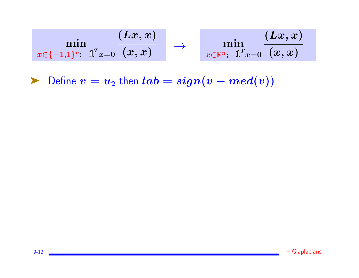$$
\min_{x \in \{-1,1\}^n; \hspace{0.1cm} 1^T x = 0} \hspace{0.1cm} \frac{(Lx,x)}{(x,x)} \hspace{1.2cm} \rightarrow \hspace{1.2cm} \min_{x \in \mathbb{R}^n; \hspace{0.1cm} 1^T x = 0} \hspace{0.1cm} \frac{(Lx,x)}{(x,x)}
$$

► Define  $v = u_2$  then  $lab = sign(v - med(v))$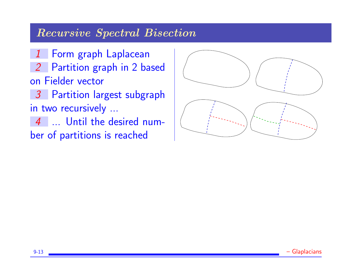# Recursive Spectral Bisection

Form graph Laplacean

2 Partition graph in 2 based on Fielder vector

3 Partition largest subgraph in two recursively ...

4 ... Until the desired number of partitions is reached

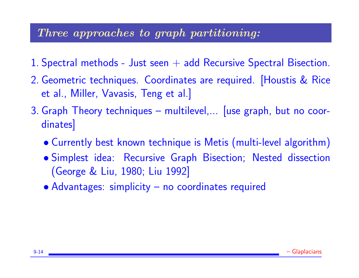#### Three approaches to graph partitioning:

- 1. Spectral methods Just seen + add Recursive Spectral Bisection.
- 2. Geometric techniques. Coordinates are required. [Houstis & Rice et al., Miller, Vavasis, Teng et al.]
- 3. Graph Theory techniques multilevel,... [use graph, but no coordinates]
	- Currently best known technique is Metis (multi-level algorithm)
	- Simplest idea: Recursive Graph Bisection; Nested dissection (George & Liu, 1980; Liu 1992]
	- Advantages: simplicity no coordinates required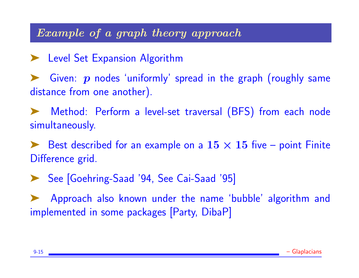### Example of a graph theory approach

# ▶ Level Set Expansion Algorithm

Given:  $\boldsymbol{p}$  nodes 'uniformly' spread in the graph (roughly same distance from one another).

➤ Method: Perform a level-set traversal (BFS) from each node simultaneously.

Best described for an example on a  $15 \times 15$  five – point Finite Difference grid.

➤ See [Goehring-Saad '94, See Cai-Saad '95]

➤ Approach also known under the name 'bubble' algorithm and implemented in some packages [Party, DibaP]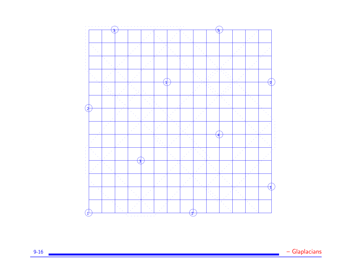

9-16 – Glaplacians – Glaplacians – Glaplacians – Glaplacians – Glaplacians – Glaplacians – Glaplacians – Glaplacians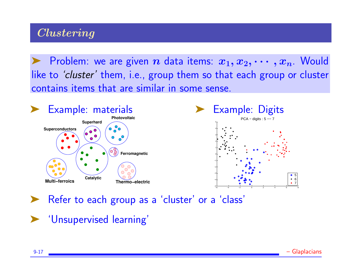# Clustering

Problem: we are given *n* data items:  $x_1, x_2, \cdots, x_n$ . Would like to 'cluster' them, i.e., group them so that each group or cluster contains items that are similar in some sense.



Refer to each group as a 'cluster' or a 'class'

'Unsupervised learning'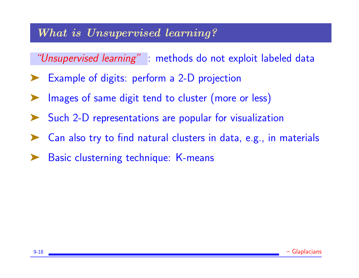### What is Unsupervised learning?

- "Unsupervised learning" : methods do not exploit labeled data
- Example of digits: perform a 2-D projection
- Images of same digit tend to cluster (more or less)
- Such 2-D representations are popular for visualization
- Can also try to find natural clusters in data, e.g., in materials
- Basic clusterning technique: K-means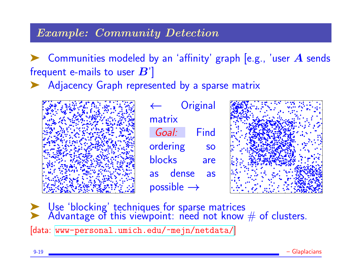### Example: Community Detection

 $\blacktriangleright$  Communities modeled by an 'affinity' graph [e.g., 'user A sends frequent e-mails to user  $B'$ ]

Adjacency Graph represented by a sparse matrix



|          | Original    |  |  |
|----------|-------------|--|--|
| matrix   |             |  |  |
| Goal:    | Find        |  |  |
| ordering | SΟ          |  |  |
| blocks   | are         |  |  |
| as       | dense<br>as |  |  |
| possible |             |  |  |



➤ Use 'blocking' techniques for sparse matrices  $\triangleright$  Advantage of this viewpoint: need not know  $\#$  of clusters. [data: <www-personal.umich.edu/~mejn/netdata/>]